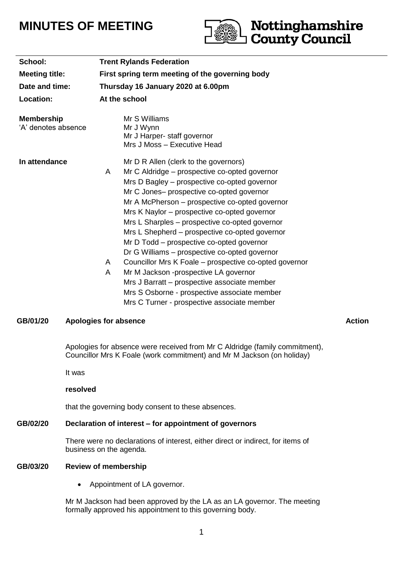# **MINUTES OF MEETING**



Mr M Jackson had been approved by the LA as an LA governor. The meeting formally approved his appointment to this governing body.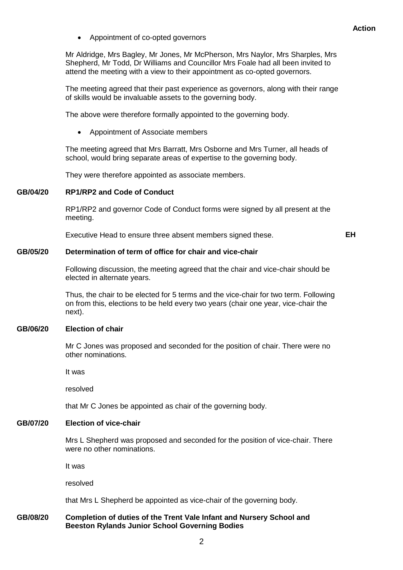Appointment of co-opted governors

Mr Aldridge, Mrs Bagley, Mr Jones, Mr McPherson, Mrs Naylor, Mrs Sharples, Mrs Shepherd, Mr Todd, Dr Williams and Councillor Mrs Foale had all been invited to attend the meeting with a view to their appointment as co-opted governors.

The meeting agreed that their past experience as governors, along with their range of skills would be invaluable assets to the governing body.

The above were therefore formally appointed to the governing body.

Appointment of Associate members

The meeting agreed that Mrs Barratt, Mrs Osborne and Mrs Turner, all heads of school, would bring separate areas of expertise to the governing body.

They were therefore appointed as associate members.

### **GB/04/20 RP1/RP2 and Code of Conduct**

RP1/RP2 and governor Code of Conduct forms were signed by all present at the meeting.

Executive Head to ensure three absent members signed these. **EH**

#### **GB/05/20 Determination of term of office for chair and vice-chair**

Following discussion, the meeting agreed that the chair and vice-chair should be elected in alternate years.

Thus, the chair to be elected for 5 terms and the vice-chair for two term. Following on from this, elections to be held every two years (chair one year, vice-chair the next).

#### **GB/06/20 Election of chair**

Mr C Jones was proposed and seconded for the position of chair. There were no other nominations.

It was

resolved

that Mr C Jones be appointed as chair of the governing body.

# **GB/07/20 Election of vice-chair**

Mrs L Shepherd was proposed and seconded for the position of vice-chair. There were no other nominations.

It was

resolved

that Mrs L Shepherd be appointed as vice-chair of the governing body.

#### **GB/08/20 Completion of duties of the Trent Vale Infant and Nursery School and Beeston Rylands Junior School Governing Bodies**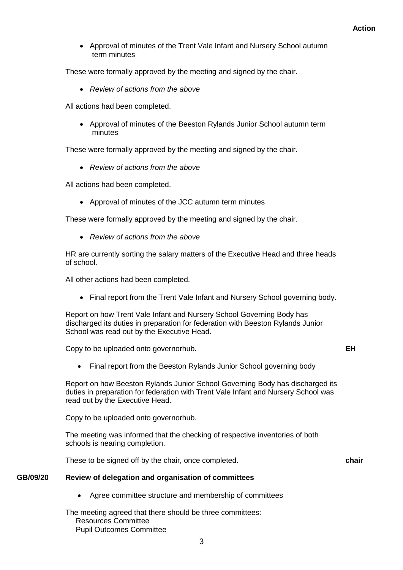Approval of minutes of the Trent Vale Infant and Nursery School autumn term minutes

These were formally approved by the meeting and signed by the chair.

*Review of actions from the above*

All actions had been completed.

 Approval of minutes of the Beeston Rylands Junior School autumn term minutes

These were formally approved by the meeting and signed by the chair.

*Review of actions from the above*

All actions had been completed.

Approval of minutes of the JCC autumn term minutes

These were formally approved by the meeting and signed by the chair.

*Review of actions from the above*

HR are currently sorting the salary matters of the Executive Head and three heads of school.

All other actions had been completed.

• Final report from the Trent Vale Infant and Nursery School governing body.

Report on how Trent Vale Infant and Nursery School Governing Body has discharged its duties in preparation for federation with Beeston Rylands Junior School was read out by the Executive Head.

Copy to be uploaded onto governorhub. **EH**

- 
- Final report from the Beeston Rylands Junior School governing body

Report on how Beeston Rylands Junior School Governing Body has discharged its duties in preparation for federation with Trent Vale Infant and Nursery School was read out by the Executive Head.

Copy to be uploaded onto governorhub.

The meeting was informed that the checking of respective inventories of both schools is nearing completion.

These to be signed off by the chair, once completed. **chair**

# **GB/09/20 Review of delegation and organisation of committees**

Agree committee structure and membership of committees

The meeting agreed that there should be three committees: Resources Committee Pupil Outcomes Committee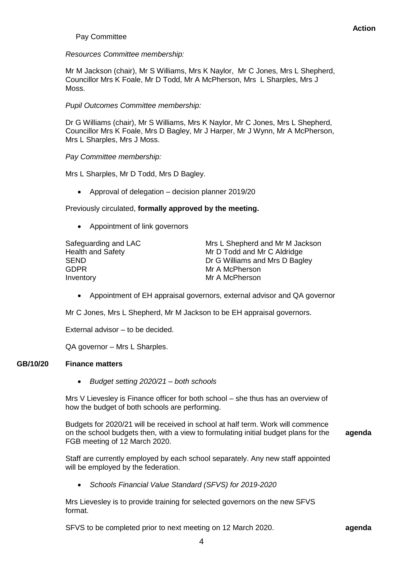# Pay Committee

# *Resources Committee membership:*

Mr M Jackson (chair), Mr S Williams, Mrs K Naylor, Mr C Jones, Mrs L Shepherd, Councillor Mrs K Foale, Mr D Todd, Mr A McPherson, Mrs L Sharples, Mrs J Moss.

# *Pupil Outcomes Committee membership:*

Dr G Williams (chair), Mr S Williams, Mrs K Naylor, Mr C Jones, Mrs L Shepherd, Councillor Mrs K Foale, Mrs D Bagley, Mr J Harper, Mr J Wynn, Mr A McPherson, Mrs L Sharples, Mrs J Moss.

## *Pay Committee membership:*

Mrs L Sharples, Mr D Todd, Mrs D Bagley.

• Approval of delegation – decision planner 2019/20

Previously circulated, **formally approved by the meeting.**

Appointment of link governors

GDPR Mr A McPherson Inventory **Mr A McPherson** 

Safeguarding and LAC Mrs L Shepherd and Mr M Jackson Health and Safety Mr D Todd and Mr C Aldridge SEND **Dr G Williams and Mrs D Bagley** 

Appointment of EH appraisal governors, external advisor and QA governor

Mr C Jones, Mrs L Shepherd, Mr M Jackson to be EH appraisal governors.

External advisor – to be decided.

QA governor – Mrs L Sharples.

### **GB/10/20 Finance matters**

*Budget setting 2020/21 – both schools*

Mrs V Lievesley is Finance officer for both school – she thus has an overview of how the budget of both schools are performing.

Budgets for 2020/21 will be received in school at half term. Work will commence on the school budgets then, with a view to formulating initial budget plans for the FGB meeting of 12 March 2020.

**agenda**

Staff are currently employed by each school separately. Any new staff appointed will be employed by the federation.

*Schools Financial Value Standard (SFVS) for 2019-2020*

Mrs Lievesley is to provide training for selected governors on the new SFVS format.

SFVS to be completed prior to next meeting on 12 March 2020. **agenda**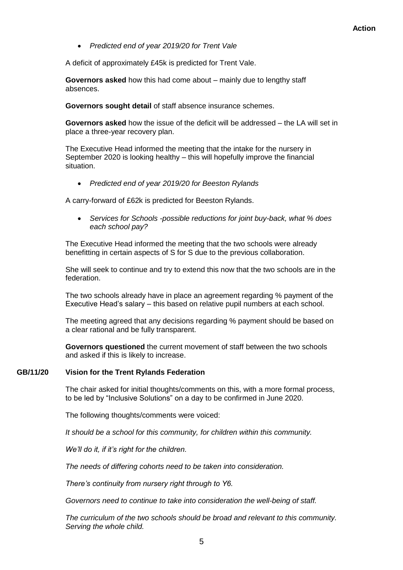*Predicted end of year 2019/20 for Trent Vale*

A deficit of approximately £45k is predicted for Trent Vale.

**Governors asked** how this had come about – mainly due to lengthy staff absences.

**Governors sought detail** of staff absence insurance schemes.

**Governors asked** how the issue of the deficit will be addressed – the LA will set in place a three-year recovery plan.

The Executive Head informed the meeting that the intake for the nursery in September 2020 is looking healthy – this will hopefully improve the financial situation.

*Predicted end of year 2019/20 for Beeston Rylands*

A carry-forward of £62k is predicted for Beeston Rylands.

 *Services for Schools -possible reductions for joint buy-back, what % does each school pay?*

The Executive Head informed the meeting that the two schools were already benefitting in certain aspects of S for S due to the previous collaboration.

She will seek to continue and try to extend this now that the two schools are in the federation.

The two schools already have in place an agreement regarding % payment of the Executive Head's salary – this based on relative pupil numbers at each school.

The meeting agreed that any decisions regarding % payment should be based on a clear rational and be fully transparent.

**Governors questioned** the current movement of staff between the two schools and asked if this is likely to increase.

### **GB/11/20 Vision for the Trent Rylands Federation**

The chair asked for initial thoughts/comments on this, with a more formal process, to be led by "Inclusive Solutions" on a day to be confirmed in June 2020.

The following thoughts/comments were voiced:

*It should be a school for this community, for children within this community.*

*We'll do it, if it's right for the children.*

*The needs of differing cohorts need to be taken into consideration.*

*There's continuity from nursery right through to Y6.*

*Governors need to continue to take into consideration the well-being of staff.*

*The curriculum of the two schools should be broad and relevant to this community. Serving the whole child.*